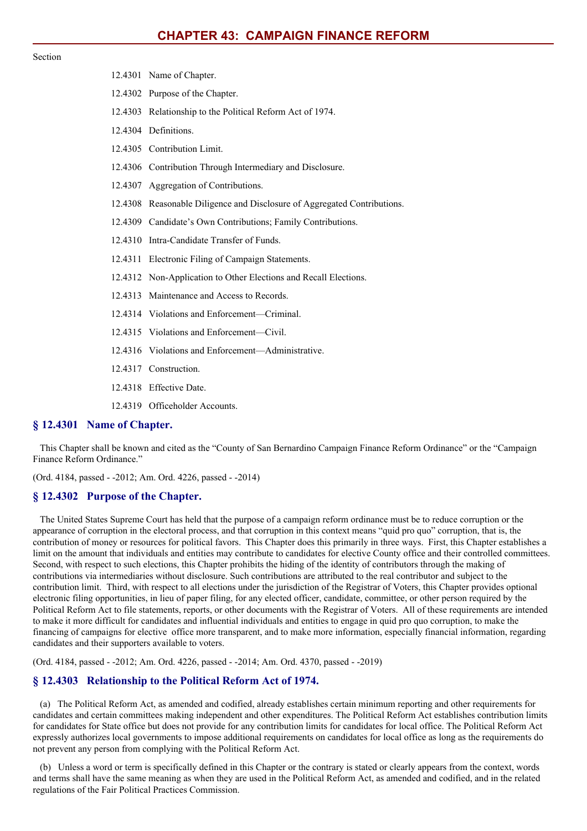#### Section

12.4301 Name of Chapter. 12.4302 Purpose of the Chapter. 12.4303 Relationship to the Political Reform Act of 1974. 12.4304 Definitions. 12.4305 Contribution Limit. 12.4306 Contribution Through Intermediary and Disclosure. 12.4307 Aggregation of Contributions. 12.4308 Reasonable Diligence and Disclosure of Aggregated Contributions. 12.4309 Candidate's Own Contributions; Family Contributions. 12.4310 Intra-Candidate Transfer of Funds. 12.4311 Electronic Filing of Campaign Statements. 12.4312 Non-Application to Other Elections and Recall Elections. 12.4313 Maintenance and Access to Records. 12.4314 Violations and Enforcement—Criminal. 12.4315 Violations and Enforcement—Civil. 12.4316 Violations and Enforcement—Administrative. 12.4317 Construction. 12.4318 Effective Date. 12.4319 Officeholder Accounts.

### **§ 12.4301 Name of Chapter.**

This Chapter shall be known and cited as the "County of San Bernardino Campaign Finance Reform Ordinance" or the "Campaign Finance Reform Ordinance."

(Ord. 4184, passed - -2012; Am. Ord. 4226, passed - -2014)

### **§ 12.4302 Purpose of the Chapter.**

The United States Supreme Court has held that the purpose of a campaign reform ordinance must be to reduce corruption or the appearance of corruption in the electoral process, and that corruption in this context means "quid pro quo" corruption, that is, the contribution of money or resources for political favors. This Chapter does this primarily in three ways. First, this Chapter establishes a limit on the amount that individuals and entities may contribute to candidates for elective County office and their controlled committees. Second, with respect to such elections, this Chapter prohibits the hiding of the identity of contributors through the making of contributions via intermediaries without disclosure. Such contributions are attributed to the real contributor and subject to the contribution limit. Third, with respect to all elections under the jurisdiction of the Registrar of Voters, this Chapter provides optional electronic filing opportunities, in lieu of paper filing, for any elected officer, candidate, committee, or other person required by the Political Reform Act to file statements, reports, or other documents with the Registrar of Voters. All of these requirements are intended to make it more difficult for candidates and influential individuals and entities to engage in quid pro quo corruption, to make the financing of campaigns for elective office more transparent, and to make more information, especially financial information, regarding candidates and their supporters available to voters.

(Ord. 4184, passed - -2012; Am. Ord. 4226, passed - -2014; Am. Ord. 4370, passed - -2019)

## **§ 12.4303 Relationship to the Political Reform Act of 1974.**

(a) The Political Reform Act, as amended and codified, already establishes certain minimum reporting and other requirements for candidates and certain committees making independent and other expenditures. The Political Reform Act establishes contribution limits for candidates for State office but does not provide for any contribution limits for candidates for local office. The Political Reform Act expressly authorizes local governments to impose additional requirements on candidates for local office as long as the requirements do not prevent any person from complying with the Political Reform Act.

(b) Unless a word or term is specifically defined in this Chapter or the contrary is stated or clearly appears from the context, words and terms shall have the same meaning as when they are used in the Political Reform Act, as amended and codified, and in the related regulations of the Fair Political Practices Commission.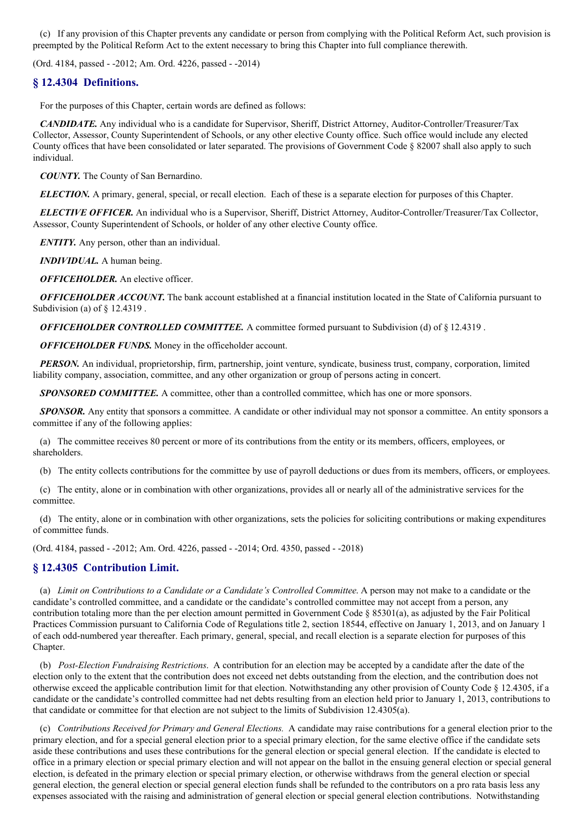(c) If any provision of this Chapter prevents any candidate or person from complying with the Political Reform Act, such provision is preempted by the Political Reform Act to the extent necessary to bring this Chapter into full compliance therewith.

(Ord. 4184, passed - -2012; Am. Ord. 4226, passed - -2014)

# **§ 12.4304 Definitions.**

For the purposes of this Chapter, certain words are defined as follows:

*CANDIDATE.* Any individual who is a candidate for Supervisor, Sheriff, District Attorney, Auditor-Controller/Treasurer/Tax Collector, Assessor, County Superintendent of Schools, or any other elective County office. Such office would include any elected County offices that have been consolidated or later separated. The provisions of Government Code § 82007 shall also apply to such individual.

*COUNTY.* The County of San Bernardino.

*ELECTION.* A primary, general, special, or recall election. Each of these is a separate election for purposes of this Chapter.

*ELECTIVE OFFICER.* An individual who is a Supervisor, Sheriff, District Attorney, Auditor-Controller/Treasurer/Tax Collector, Assessor, County Superintendent of Schools, or holder of any other elective County office.

*ENTITY.* Any person, other than an individual.

*INDIVIDUAL.* A human being.

*OFFICEHOLDER.* An elective officer.

*OFFICEHOLDER ACCOUNT.* The bank account established at a financial institution located in the State of California pursuant to Subdivision (a) of § 12.4319 .

*OFFICEHOLDER CONTROLLED COMMITTEE.* A committee formed pursuant to Subdivision (d) of § 12.4319 .

*OFFICEHOLDER FUNDS.* Money in the officeholder account.

*PERSON*. An individual, proprietorship, firm, partnership, joint venture, syndicate, business trust, company, corporation, limited liability company, association, committee, and any other organization or group of persons acting in concert.

*SPONSORED COMMITTEE.* A committee, other than a controlled committee, which has one or more sponsors.

*SPONSOR.* Any entity that sponsors a committee. A candidate or other individual may not sponsor a committee. An entity sponsors a committee if any of the following applies:

(a) The committee receives 80 percent or more of its contributions from the entity or its members, officers, employees, or shareholders.

(b) The entity collects contributions for the committee by use of payroll deductions or dues from its members, officers, or employees.

(c) The entity, alone or in combination with other organizations, provides all or nearly all of the administrative services for the committee.

(d) The entity, alone or in combination with other organizations, sets the policies for soliciting contributions or making expenditures of committee funds.

(Ord. 4184, passed - -2012; Am. Ord. 4226, passed - -2014; Ord. 4350, passed - -2018)

# **§ 12.4305 Contribution Limit.**

(a) *Limit on Contributions to a Candidate or a Candidate's Controlled Committee*. A person may not make to a candidate or the candidate's controlled committee, and a candidate or the candidate's controlled committee may not accept from a person, any contribution totaling more than the per election amount permitted in Government Code § 85301(a), as adjusted by the Fair Political Practices Commission pursuant to California Code of Regulations title 2, section 18544, effective on January 1, 2013, and on January 1 of each odd-numbered year thereafter. Each primary, general, special, and recall election is a separate election for purposes of this Chapter.

(b) *Post-Election Fundraising Restrictions*. A contribution for an election may be accepted by a candidate after the date of the election only to the extent that the contribution does not exceed net debts outstanding from the election, and the contribution does not otherwise exceed the applicable contribution limit for that election. Notwithstanding any other provision of County Code § 12.4305, if a candidate or the candidate's controlled committee had net debts resulting from an election held prior to January 1, 2013, contributions to that candidate or committee for that election are not subject to the limits of Subdivision 12.4305(a).

(c) *Contributions Received for Primary and General Elections.* A candidate may raise contributions for a general election prior to the primary election, and for a special general election prior to a special primary election, for the same elective office if the candidate sets aside these contributions and uses these contributions for the general election or special general election. If the candidate is elected to office in a primary election or special primary election and will not appear on the ballot in the ensuing general election or special general election, is defeated in the primary election or special primary election, or otherwise withdraws from the general election or special general election, the general election or special general election funds shall be refunded to the contributors on a pro rata basis less any expenses associated with the raising and administration of general election or special general election contributions. Notwithstanding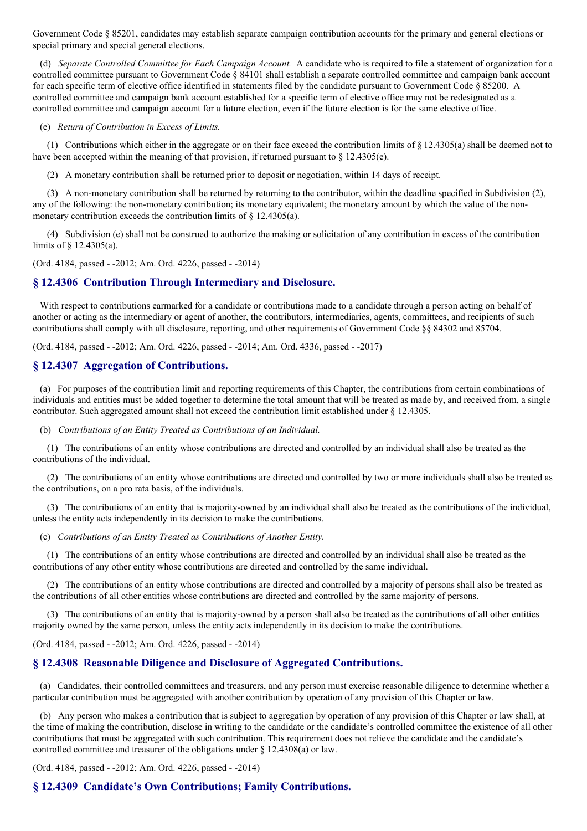Government Code § 85201, candidates may establish separate campaign contribution accounts for the primary and general elections or special primary and special general elections.

(d) *Separate Controlled Committee for Each Campaign Account.* A candidate who is required to file a statement of organization for a controlled committee pursuant to Government Code § 84101 shall establish a separate controlled committee and campaign bank account for each specific term of elective office identified in statements filed by the candidate pursuant to Government Code § 85200. A controlled committee and campaign bank account established for a specific term of elective office may not be redesignated as a controlled committee and campaign account for a future election, even if the future election is for the same elective office.

#### (e) *Return of Contribution in Excess of Limits*.

(1) Contributions which either in the aggregate or on their face exceed the contribution limits of  $\S$  12.4305(a) shall be deemed not to have been accepted within the meaning of that provision, if returned pursuant to § 12.4305(e).

(2) A monetary contribution shall be returned prior to deposit or negotiation, within 14 days of receipt.

(3) A non-monetary contribution shall be returned by returning to the contributor, within the deadline specified in Subdivision (2), any of the following: the non-monetary contribution; its monetary equivalent; the monetary amount by which the value of the nonmonetary contribution exceeds the contribution limits of § 12.4305(a).

(4) Subdivision (e) shall not be construed to authorize the making or solicitation of any contribution in excess of the contribution limits of § 12.4305(a).

(Ord. 4184, passed - -2012; Am. Ord. 4226, passed - -2014)

## **§ 12.4306 Contribution Through Intermediary and Disclosure.**

With respect to contributions earmarked for a candidate or contributions made to a candidate through a person acting on behalf of another or acting as the intermediary or agent of another, the contributors, intermediaries, agents, committees, and recipients of such contributions shall comply with all disclosure, reporting, and other requirements of Government Code §§ 84302 and 85704.

(Ord. 4184, passed - -2012; Am. Ord. 4226, passed - -2014; Am. Ord. 4336, passed - -2017)

## **§ 12.4307 Aggregation of Contributions.**

(a) For purposes of the contribution limit and reporting requirements of this Chapter, the contributions from certain combinations of individuals and entities must be added together to determine the total amount that will be treated as made by, and received from, a single contributor. Such aggregated amount shall not exceed the contribution limit established under § 12.4305.

(b) *Contributions of an Entity Treated as Contributions of an Individual.*

(1) The contributions of an entity whose contributions are directed and controlled by an individual shall also be treated as the contributions of the individual.

(2) The contributions of an entity whose contributions are directed and controlled by two or more individuals shall also be treated as the contributions, on a pro rata basis, of the individuals.

(3) The contributions of an entity that is majority-owned by an individual shall also be treated as the contributions of the individual, unless the entity acts independently in its decision to make the contributions.

(c) *Contributions of an Entity Treated as Contributions of Another Entity.*

(1) The contributions of an entity whose contributions are directed and controlled by an individual shall also be treated as the contributions of any other entity whose contributions are directed and controlled by the same individual.

(2) The contributions of an entity whose contributions are directed and controlled by a majority of persons shall also be treated as the contributions of all other entities whose contributions are directed and controlled by the same majority of persons.

(3) The contributions of an entity that is majority-owned by a person shall also be treated as the contributions of all other entities majority owned by the same person, unless the entity acts independently in its decision to make the contributions.

(Ord. 4184, passed - -2012; Am. Ord. 4226, passed - -2014)

## **§ 12.4308 Reasonable Diligence and Disclosure of Aggregated Contributions.**

(a) Candidates, their controlled committees and treasurers, and any person must exercise reasonable diligence to determine whether a particular contribution must be aggregated with another contribution by operation of any provision of this Chapter or law.

(b) Any person who makes a contribution that is subject to aggregation by operation of any provision of this Chapter or law shall, at the time of making the contribution, disclose in writing to the candidate or the candidate's controlled committee the existence of all other contributions that must be aggregated with such contribution. This requirement does not relieve the candidate and the candidate's controlled committee and treasurer of the obligations under § 12.4308(a) or law.

(Ord. 4184, passed - -2012; Am. Ord. 4226, passed - -2014)

## **§ 12.4309 Candidate's Own Contributions; Family Contributions.**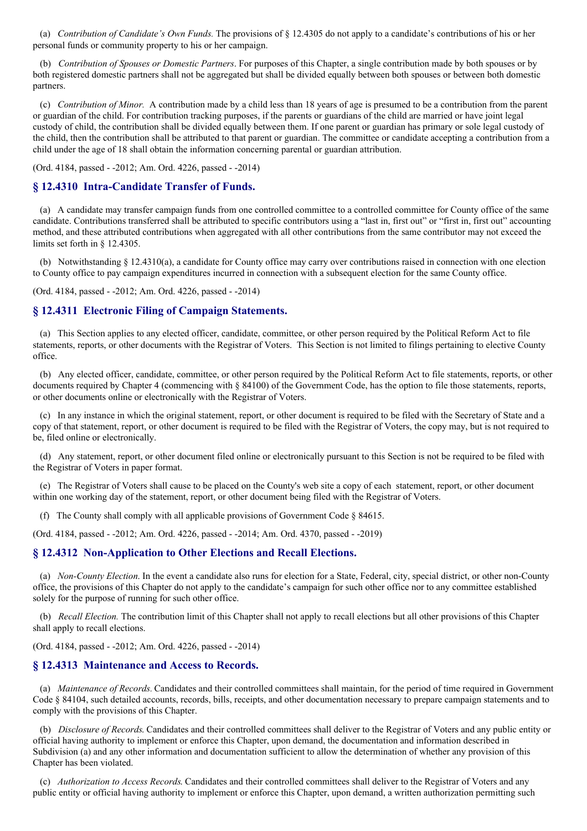(a) *Contribution of Candidate's Own Funds.* The provisions of § 12.4305 do not apply to a candidate's contributions of his or her personal funds or community property to his or her campaign.

(b) *Contribution of Spouses or Domestic Partners*. For purposes of this Chapter, a single contribution made by both spouses or by both registered domestic partners shall not be aggregated but shall be divided equally between both spouses or between both domestic partners.

(c) *Contribution of Minor.* A contribution made by a child less than 18 years of age is presumed to be a contribution from the parent or guardian of the child. For contribution tracking purposes, if the parents or guardians of the child are married or have joint legal custody of child, the contribution shall be divided equally between them. If one parent or guardian has primary or sole legal custody of the child, then the contribution shall be attributed to that parent or guardian. The committee or candidate accepting a contribution from a child under the age of 18 shall obtain the information concerning parental or guardian attribution.

(Ord. 4184, passed - -2012; Am. Ord. 4226, passed - -2014)

## **§ 12.4310 Intra-Candidate Transfer of Funds.**

(a) A candidate may transfer campaign funds from one controlled committee to a controlled committee for County office of the same candidate. Contributions transferred shall be attributed to specific contributors using a "last in, first out" or "first in, first out" accounting method, and these attributed contributions when aggregated with all other contributions from the same contributor may not exceed the limits set forth in § 12.4305.

(b) Notwithstanding § 12.4310(a), a candidate for County office may carry over contributions raised in connection with one election to County office to pay campaign expenditures incurred in connection with a subsequent election for the same County office.

(Ord. 4184, passed - -2012; Am. Ord. 4226, passed - -2014)

## **§ 12.4311 Electronic Filing of Campaign Statements.**

(a) This Section applies to any elected officer, candidate, committee, or other person required by the Political Reform Act to file statements, reports, or other documents with the Registrar of Voters. This Section is not limited to filings pertaining to elective County office.

(b) Any elected officer, candidate, committee, or other person required by the Political Reform Act to file statements, reports, or other documents required by Chapter 4 (commencing with § 84100) of the Government Code, has the option to file those statements, reports, or other documents online or electronically with the Registrar of Voters.

(c) In any instance in which the original statement, report, or other document is required to be filed with the Secretary of State and a copy of that statement, report, or other document is required to be filed with the Registrar of Voters, the copy may, but is not required to be, filed online or electronically.

(d) Any statement, report, or other document filed online or electronically pursuant to this Section is not be required to be filed with the Registrar of Voters in paper format.

(e) The Registrar of Voters shall cause to be placed on the County's web site a copy of each statement, report, or other document within one working day of the statement, report, or other document being filed with the Registrar of Voters.

(f) The County shall comply with all applicable provisions of Government Code § 84615.

(Ord. 4184, passed - -2012; Am. Ord. 4226, passed - -2014; Am. Ord. 4370, passed - -2019)

#### **§ 12.4312 Non-Application to Other Elections and Recall Elections.**

(a) *Non-County Election*. In the event a candidate also runs for election for a State, Federal, city, special district, or other non-County office, the provisions of this Chapter do not apply to the candidate's campaign for such other office nor to any committee established solely for the purpose of running for such other office.

(b) *Recall Election.* The contribution limit of this Chapter shall not apply to recall elections but all other provisions of this Chapter shall apply to recall elections.

(Ord. 4184, passed - -2012; Am. Ord. 4226, passed - -2014)

### **§ 12.4313 Maintenance and Access to Records.**

(a) *Maintenance of Records.* Candidates and their controlled committees shall maintain, for the period of time required in Government Code § 84104, such detailed accounts, records, bills, receipts, and other documentation necessary to prepare campaign statements and to comply with the provisions of this Chapter.

(b) *Disclosure of Records*. Candidates and their controlled committees shall deliver to the Registrar of Voters and any public entity or official having authority to implement or enforce this Chapter, upon demand, the documentation and information described in Subdivision (a) and any other information and documentation sufficient to allow the determination of whether any provision of this Chapter has been violated.

(c) *Authorization to Access Records*. Candidates and their controlled committees shall deliver to the Registrar of Voters and any public entity or official having authority to implement or enforce this Chapter, upon demand, a written authorization permitting such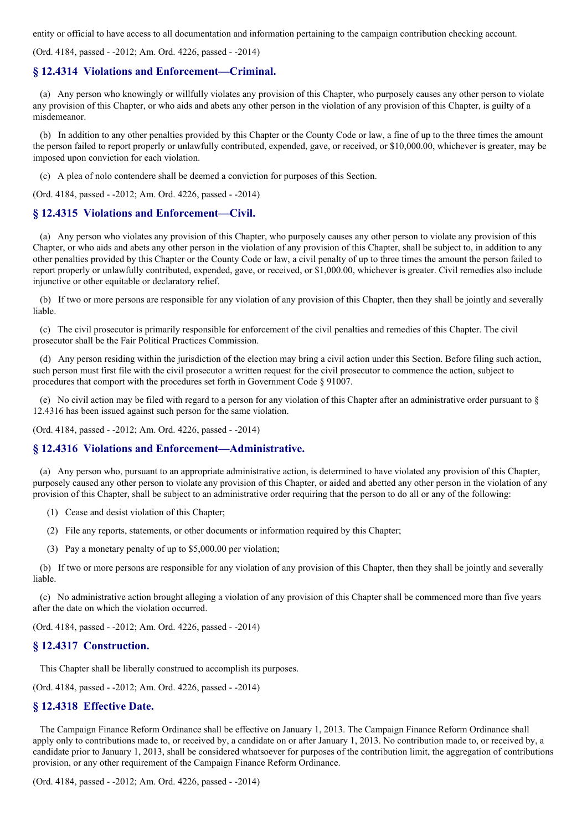entity or official to have access to all documentation and information pertaining to the campaign contribution checking account.

(Ord. 4184, passed - -2012; Am. Ord. 4226, passed - -2014)

### **§ 12.4314 Violations and Enforcement—Criminal.**

(a) Any person who knowingly or willfully violates any provision of this Chapter, who purposely causes any other person to violate any provision of this Chapter, or who aids and abets any other person in the violation of any provision of this Chapter, is guilty of a misdemeanor.

(b) In addition to any other penalties provided by this Chapter or the County Code or law, a fine of up to the three times the amount the person failed to report properly or unlawfully contributed, expended, gave, or received, or \$10,000.00, whichever is greater, may be imposed upon conviction for each violation.

(c) A plea of nolo contendere shall be deemed a conviction for purposes of this Section.

(Ord. 4184, passed - -2012; Am. Ord. 4226, passed - -2014)

## **§ 12.4315 Violations and Enforcement—Civil.**

(a) Any person who violates any provision of this Chapter, who purposely causes any other person to violate any provision of this Chapter, or who aids and abets any other person in the violation of any provision of this Chapter, shall be subject to, in addition to any other penalties provided by this Chapter or the County Code or law, a civil penalty of up to three times the amount the person failed to report properly or unlawfully contributed, expended, gave, or received, or \$1,000.00, whichever is greater. Civil remedies also include injunctive or other equitable or declaratory relief.

(b) If two or more persons are responsible for any violation of any provision of this Chapter, then they shall be jointly and severally liable.

(c) The civil prosecutor is primarily responsible for enforcement of the civil penalties and remedies of this Chapter. The civil prosecutor shall be the Fair Political Practices Commission.

(d) Any person residing within the jurisdiction of the election may bring a civil action under this Section. Before filing such action, such person must first file with the civil prosecutor a written request for the civil prosecutor to commence the action, subject to procedures that comport with the procedures set forth in Government Code § 91007.

(e) No civil action may be filed with regard to a person for any violation of this Chapter after an administrative order pursuant to § 12.4316 has been issued against such person for the same violation.

(Ord. 4184, passed - -2012; Am. Ord. 4226, passed - -2014)

### **§ 12.4316 Violations and Enforcement—Administrative.**

(a) Any person who, pursuant to an appropriate administrative action, is determined to have violated any provision of this Chapter, purposely caused any other person to violate any provision of this Chapter, or aided and abetted any other person in the violation of any provision of this Chapter, shall be subject to an administrative order requiring that the person to do all or any of the following:

- (1) Cease and desist violation of this Chapter;
- (2) File any reports, statements, or other documents or information required by this Chapter;
- (3) Pay a monetary penalty of up to \$5,000.00 per violation;

(b) If two or more persons are responsible for any violation of any provision of this Chapter, then they shall be jointly and severally liable.

(c) No administrative action brought alleging a violation of any provision of this Chapter shall be commenced more than five years after the date on which the violation occurred.

(Ord. 4184, passed - -2012; Am. Ord. 4226, passed - -2014)

## **§ 12.4317 Construction.**

This Chapter shall be liberally construed to accomplish its purposes.

(Ord. 4184, passed - -2012; Am. Ord. 4226, passed - -2014)

## **§ 12.4318 Effective Date.**

The Campaign Finance Reform Ordinance shall be effective on January 1, 2013. The Campaign Finance Reform Ordinance shall apply only to contributions made to, or received by, a candidate on or after January 1, 2013. No contribution made to, or received by, a candidate prior to January 1, 2013, shall be considered whatsoever for purposes of the contribution limit, the aggregation of contributions provision, or any other requirement of the Campaign Finance Reform Ordinance.

(Ord. 4184, passed - -2012; Am. Ord. 4226, passed - -2014)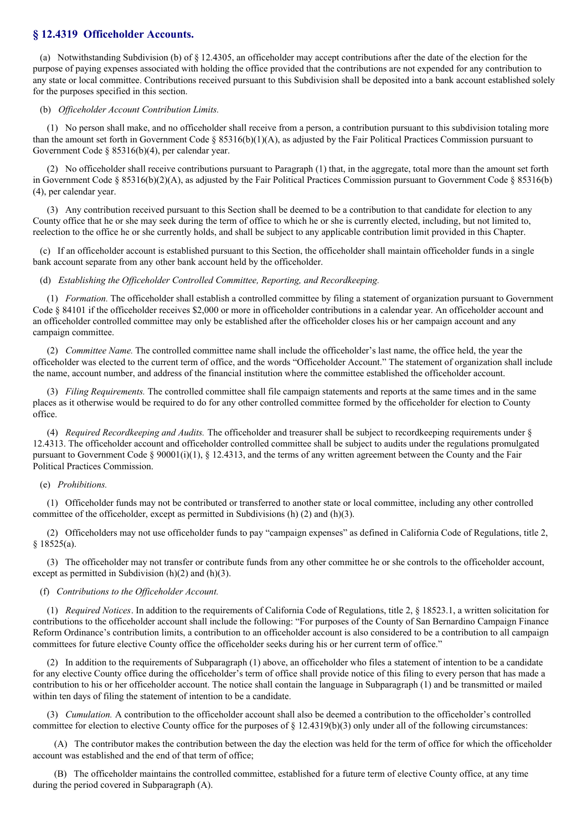## **§ 12.4319 Officeholder Accounts.**

(a) Notwithstanding Subdivision (b) of § 12.4305, an officeholder may accept contributions after the date of the election for the purpose of paying expenses associated with holding the office provided that the contributions are not expended for any contribution to any state or local committee. Contributions received pursuant to this Subdivision shall be deposited into a bank account established solely for the purposes specified in this section.

#### (b) *Of iceholder Account Contribution Limits.*

(1) No person shall make, and no officeholder shall receive from a person, a contribution pursuant to this subdivision totaling more than the amount set forth in Government Code § 85316(b)(1)(A), as adjusted by the Fair Political Practices Commission pursuant to Government Code § 85316(b)(4), per calendar year.

(2) No officeholder shall receive contributions pursuant to Paragraph (1) that, in the aggregate, total more than the amount set forth in Government Code § 85316(b)(2)(A), as adjusted by the Fair Political Practices Commission pursuant to Government Code § 85316(b) (4), per calendar year.

(3) Any contribution received pursuant to this Section shall be deemed to be a contribution to that candidate for election to any County office that he or she may seek during the term of office to which he or she is currently elected, including, but not limited to, reelection to the office he or she currently holds, and shall be subject to any applicable contribution limit provided in this Chapter.

(c) If an officeholder account is established pursuant to this Section, the officeholder shall maintain officeholder funds in a single bank account separate from any other bank account held by the officeholder.

#### (d) *Establishing the Of iceholder Controlled Committee, Reporting, and Recordkeeping.*

(1) *Formation.* The officeholder shall establish a controlled committee by filing a statement of organization pursuant to Government Code § 84101 if the officeholder receives \$2,000 or more in officeholder contributions in a calendar year. An officeholder account and an officeholder controlled committee may only be established after the officeholder closes his or her campaign account and any campaign committee.

(2) *Committee Name.* The controlled committee name shall include the officeholder's last name, the office held, the year the officeholder was elected to the current term of office, and the words "Officeholder Account." The statement of organization shall include the name, account number, and address of the financial institution where the committee established the officeholder account.

(3) *Filing Requirements.* The controlled committee shall file campaign statements and reports at the same times and in the same places as it otherwise would be required to do for any other controlled committee formed by the officeholder for election to County office.

(4) *Required Recordkeeping and Audits.* The officeholder and treasurer shall be subject to recordkeeping requirements under § 12.4313. The officeholder account and officeholder controlled committee shall be subject to audits under the regulations promulgated pursuant to Government Code § 90001(i)(1), § 12.4313, and the terms of any written agreement between the County and the Fair Political Practices Commission.

#### (e) *Prohibitions.*

(1) Officeholder funds may not be contributed or transferred to another state or local committee, including any other controlled committee of the officeholder, except as permitted in Subdivisions (h) (2) and (h)(3).

(2) Officeholders may not use officeholder funds to pay "campaign expenses" as defined in California Code of Regulations, title 2, § 18525(a).

(3) The officeholder may not transfer or contribute funds from any other committee he or she controls to the officeholder account, except as permitted in Subdivision (h)(2) and (h)(3).

#### (f) *Contributions to the Of iceholder Account.*

(1) *Required Notices*. In addition to the requirements of California Code of Regulations, title 2, § 18523.1, a written solicitation for contributions to the officeholder account shall include the following: "For purposes of the County of San Bernardino Campaign Finance Reform Ordinance's contribution limits, a contribution to an officeholder account is also considered to be a contribution to all campaign committees for future elective County office the officeholder seeks during his or her current term of office."

(2) In addition to the requirements of Subparagraph (1) above, an officeholder who files a statement of intention to be a candidate for any elective County office during the officeholder's term of office shall provide notice of this filing to every person that has made a contribution to his or her officeholder account. The notice shall contain the language in Subparagraph (1) and be transmitted or mailed within ten days of filing the statement of intention to be a candidate.

(3) *Cumulation.* A contribution to the officeholder account shall also be deemed a contribution to the officeholder's controlled committee for election to elective County office for the purposes of  $\S 12.4319(b)(3)$  only under all of the following circumstances:

(A) The contributor makes the contribution between the day the election was held for the term of office for which the officeholder account was established and the end of that term of office;

(B) The officeholder maintains the controlled committee, established for a future term of elective County office, at any time during the period covered in Subparagraph (A).